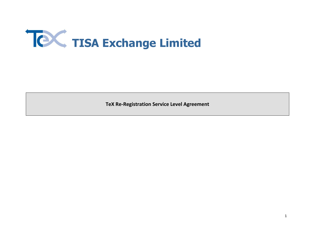

**TeX Re-Registration Service Level Agreement**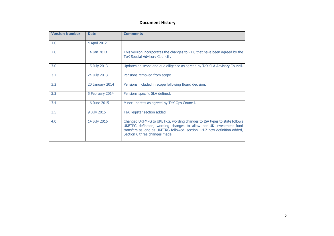## **Document History**

| <b>Version Number</b> | <b>Date</b>     | <b>Comments</b>                                                                                                                                                                                                                                             |
|-----------------------|-----------------|-------------------------------------------------------------------------------------------------------------------------------------------------------------------------------------------------------------------------------------------------------------|
| 1.0                   | 4 April 2012    |                                                                                                                                                                                                                                                             |
| 2.0                   | 14 Jan 2013     | This version incorporates the changes to v1.0 that have been agreed by the<br>TeX Special Advisory Council.                                                                                                                                                 |
| 3.0                   | 15 July 2013    | Updates on scope and due diligence as agreed by TeX SLA Advisory Council.                                                                                                                                                                                   |
| 3.1                   | 24 July 2013    | Pensions removed from scope.                                                                                                                                                                                                                                |
| 3.2                   | 20 January 2014 | Pensions included in scope following Board decision.                                                                                                                                                                                                        |
| 3.3                   | 5 February 2014 | Pensions specific SLA defined.                                                                                                                                                                                                                              |
| 3.4                   | 16 June 2015    | Minor updates as agreed by TeX Ops Counciil.                                                                                                                                                                                                                |
| 3.5                   | 9 July 2015     | TeX register section added                                                                                                                                                                                                                                  |
| 4.0                   | 14 July 2016    | Changed UKFMPG to UKETRG, wording changes to ISA types to state follows<br>UKETPG definition, wording changes to allow non-UK investment fund<br>transfers as long as UKETRG followed. section 1.4.2 new definition added,<br>Section 6 three changes made. |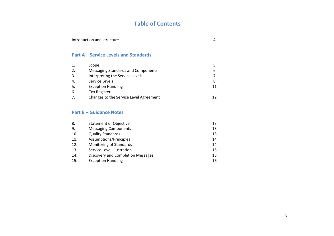# **Table of Contents**

| Introduction and structure |  |
|----------------------------|--|
|                            |  |

# **Part A – Service Levels and Standards**

| 1.             | Scope                                  |    |
|----------------|----------------------------------------|----|
| 2.             | Messaging Standards and Components     | 6  |
| 3.             | Interpreting the Service Levels        |    |
| 4.             | Service Levels                         | 8  |
| 5.             | <b>Exception Handling</b>              | 11 |
| 6.             | <b>Tex Register</b>                    |    |
| 7 <sub>1</sub> | Changes to the Service Level Agreement |    |

# **Part B – Guidance Notes**

| 8.  | <b>Statement of Objective</b>     | 13 |
|-----|-----------------------------------|----|
| 9.  | <b>Messaging Components</b>       | 13 |
| 10. | <b>Quality Standards</b>          | 13 |
| 11. | Assumptions/Principles            | 14 |
| 12. | Monitoring of Standards           | 14 |
| 13. | Service Level Illustration        | 15 |
| 14. | Discovery and Completion Messages | 15 |
| 15. | <b>Exception Handling</b>         | 16 |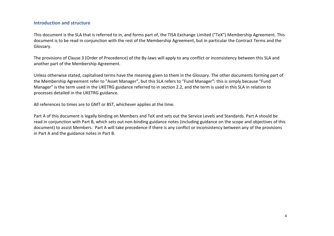#### **Introduction and structure**

This document is the SLA that is referred to in, and forms part of, the TISA Exchange Limited ("TeX") Membership Agreement. This document is to be read in conjunction with the rest of the Membership Agreement, but in particular the Contract Terms and the Glossary.

The provisions of Clause 3 (Order of Precedence) of the By-laws will apply to any conflict or inconsistency between this SLA and another part of the Membership Agreement.

Unless otherwise stated, capitalised terms have the meaning given to them in the Glossary. The other documents forming part of the Membership Agreement refer to "Asset Manager", but this SLA refers to "Fund Manager": this is simply because "Fund Manager" is the term used in the UKETRG guidance referred to in section [2.2,](#page-5-0) and the term is used in this SLA in relation to processes detailed in the UKETRG guidance.

All references to times are to GMT or BST, whichever applies at the time.

Part A of this document is legally binding on Members and TeX and sets out the Service Levels and Standards. Part A should be read in conjunction with Part B, which sets out non-binding guidance notes (including guidance on the scope and objectives of this document) to assist Members. Part A will take precedence if there is any conflict or inconsistency between any of the provisions in Part A and the guidance notes in Part B.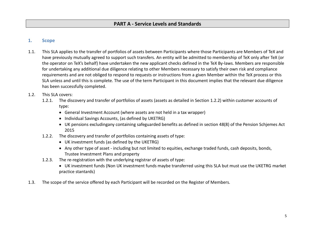# **PART A - Service Levels and Standards**

## **1. Scope**

1.1. This SLA applies to the transfer of portfolios of assets between Participants where those Participants are Members of TeX and have previously mutually agreed to support such transfers. An entity will be admitted to membership of TeX only after TeX (or the operator on TeX's behalf) have undertaken the new applicant checks defined in the TeX By-laws. Members are responsible for undertaking any additional due diligence relating to other Members necessary to satisfy their own risk and compliance requirements and are not obliged to respond to requests or instructions from a given Member within the TeX process or this SLA unless and until this is complete. The use of the term Participant in this document implies that the relevant due diligence has been successfully completed.

#### 1.2. This SLA covers:

- 1.2.1. The discovery and transfer of portfolios of assets (assets as detailed in Section [1.2.2\)](#page-4-0) within customer accounts of type:
	- General Investment Account (where assets are not held in a tax wrapper)
	- Individual Savings Accounts, (as defined by UKETRG)
	- UK pensions excludingany containing safeguarded benefits as defined in section 48(8) of the Pension Schjemes Act 2015
- <span id="page-4-0"></span>1.2.2. The discovery and transfer of portfolios containing assets of type:
	- UK investment funds (as defined by the UKETRG)
	- Any other type of asset including but not limited to equities, exchange traded funds, cash deposits, bonds, Trustee Investment Plans and property
- 1.2.3. The re-registration with the underlying registrar of assets of type:
	- UK investment funds (Non UK investment funds maybe transferred using this SLA but must use the UKETRG market practice stantards)
- 1.3. The scope of the service offered by each Participant will be recorded on the Register of Members.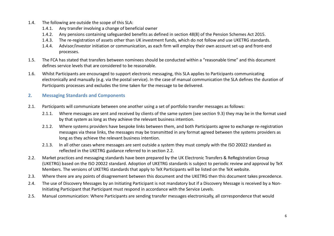- 1.4. The following are outside the scope of this SLA:
	- 1.4.1. Any transfer involving a change of beneficial owner
	- 1.4.2. Any pensions containing safeguarded benefits as defined in section 48(8) of the Pension Schemes Act 2015.
	- 1.4.3. The re-registration of assets other than UK investment funds, which do not follow and use UKETRG standards.
	- 1.4.4. Advisor/investor initiation or communication, as each firm will employ their own account set-up and front-end processes.
- 1.5. The FCA has stated that transfers between nominees should be conducted within a "reasonable time" and this document defines service levels that are considered to be reasonable.
- 1.6. Whilst Participants are encouraged to support electronic messaging, this SLA applies to Participants communicating electronically and manually (e.g. via the postal service). In the case of manual communication the SLA defines the duration of Participants processes and excludes the time taken for the message to be delivered.

# **2. Messaging Standards and Components**

- <span id="page-5-2"></span>2.1. Participants will communicate between one another using a set of portfolio transfer messages as follows:
	- 2.1.1. Where messages are sent and received by clients of the same system (see section [9.3\)](#page-13-0) they may be in the format used by that system as long as they achieve the relevant business intention.
	- 2.1.2. Where systems providers have bespoke links between them, and both Participants agree to exchange re-registration messages via these links, the messages may be transmitted in any format agreed between the systems providers as long as they achieve the relevant business intention.
	- 2.1.3. In all other cases where messages are sent outside a system they must comply with the ISO 20022 standard as reflected in the UKETRG guidance referred to in section [2.2.](#page-5-0)
- <span id="page-5-0"></span>2.2. Market practices and messaging standards have been prepared by the UK Electronic Transfers & ReRegistration Group (UKETRG) based on the ISO 20022 standard. Adoption of UKETRG standards is subject to periodic review and approval by TeX Members. The versions of UKETRG standards that apply to TeX Participants will be listed on the TeX website.
- 2.3. Where there are any points of disagreement between this document and the UKETRG then this document takes precedence.
- <span id="page-5-1"></span>2.4. The use of Discovery Messages by an Initiating Participant is not mandatory but if a Discovery Message is received by a Non-Initiating Participant that Participant must respond in accordance with the Service Levels.
- 2.5. Manual communication: Where Participants are sending transfer messages electronically, all correspondence that would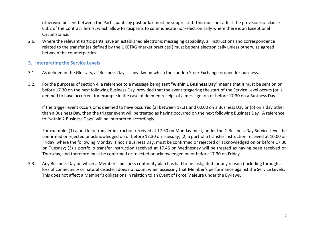otherwise be sent between the Participants by post or fax must be suppressed. This does not affect the provisions of clause 6.3.2 of the Contract Terms, which allow Participants to communicate non-electronically where there is an Exceptional Circumstance.

2.6. Where the relevant Participants have an established electronic messaging capability, all instructions and correspondence related to the transfer (as defined by the UKETRG)market practices ) must be sent electronically unless otherwise agreed between the counterparties.

#### **3. Interpreting the Service Levels**

- 3.1. As defined in the Glossary, a "Business Day" is any day on which the London Stock Exchange is open for business.
- 3.2. For the purposes of section [4,](#page-7-0) a reference to a message being sent "**within 1 Business Day**" means that it must be sent on or before 17.30 on the next following Business Day, provided that the event triggering the start of the Service Level occurs (or is deemed to have occurred, for example in the case of deemed receipt of a message) on or before 17.30 on a Business Day.

If the trigger event occurs or is deemed to have occurred (a) between 17.31 and 00.00 on a Business Day or (b) on a day other than a Business Day, then the trigger event will be treated as having occurred on the next following Business Day. A reference to "within 2 Business Days" will be interpreted accordingly.

For example: (1) a portfolio transfer instruction received at 17.30 on Monday must, under the 1-Business Day Service Level, be confirmed or rejected or acknowledged on or before 17.30 on Tuesday; (2) a portfolio transfer instruction received at 10.00 on Friday, where the following Monday is not a Business Day, must be confirmed or rejected or acknowledged on or before 17.30 on Tuesday; (3) a portfolio transfer instruction received at 17.45 on Wednesday will be treated as having been received on Thursday, and therefore must be confirmed or rejected or acknowledged on or before 17.30 on Friday.

3.3. Any Business Day on which a Member's business continuity plan has had to be instigated for any reason (including through a loss of connectivity or natural disaster) does not count when assessing that Member's performance against the Service Levels. This does not affect a Member's obligations in relation to an Event of Force Majeure under the By-laws.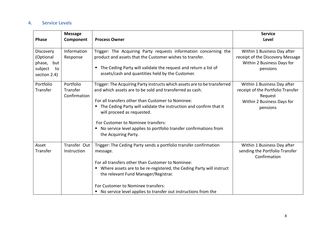## <span id="page-7-0"></span>**4. Service Levels**

| <b>Phase</b>                                                          | <b>Message</b><br>Component           | <b>Process Owner</b>                                                                                                                                                                                                                                                                                                                                                                                                              | <b>Service</b><br>Level                                                                                               |
|-----------------------------------------------------------------------|---------------------------------------|-----------------------------------------------------------------------------------------------------------------------------------------------------------------------------------------------------------------------------------------------------------------------------------------------------------------------------------------------------------------------------------------------------------------------------------|-----------------------------------------------------------------------------------------------------------------------|
| Discovery<br>(Optional<br>phase, but<br>subject<br>to<br>section 2.4) | Information<br>Response               | Trigger: The Acquiring Party requests information concerning the<br>product and assets that the Customer wishes to transfer.<br>The Ceding Party will validate the request and return a list of<br>$\blacksquare$<br>assets/cash and quantities held by the Customer.                                                                                                                                                             | Within 1 Business Day after<br>receipt of the Discovery Message<br>Within 2 Business Days for<br>pensions             |
| Portfolio<br>Transfer                                                 | Portfolio<br>Transfer<br>Confirmation | Trigger: The Acquiring Party instructs which assets are to be transferred<br>and which assets are to be sold and transferred as cash.<br>For all transfers other than Customer to Nominee:<br>The Ceding Party will validate the instruction and confirm that it<br>will proceed as requested.<br>For Customer to Nominee transfers:<br>No service level applies to portfolio transfer confirmations from<br>the Acquiring Party. | Within 1 Business Day after<br>receipt of the Portfolio Transfer<br>Request<br>Within 2 Business Days for<br>pensions |
| Asset<br>Transfer                                                     | Transfer Out<br>Instruction           | Trigger: The Ceding Party sends a portfolio transfer confirmation<br>message.<br>For all transfers other than Customer to Nominee:<br>Where assets are to be re-registered, the Ceding Party will instruct<br>the relevant Fund Manager/Registrar.<br>For Customer to Nominee transfers:<br>No service level applies to transfer out instructions from the                                                                        | Within 1 Business Day after<br>sending the Portfolio Transfer<br>Confirmation                                         |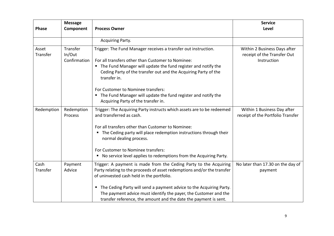| <b>Phase</b>      | <b>Message</b><br>Component        | <b>Process Owner</b>                                                                                                                                                                                                                                                         | <b>Service</b><br>Level                                                    |
|-------------------|------------------------------------|------------------------------------------------------------------------------------------------------------------------------------------------------------------------------------------------------------------------------------------------------------------------------|----------------------------------------------------------------------------|
|                   |                                    | Acquiring Party.                                                                                                                                                                                                                                                             |                                                                            |
| Asset<br>Transfer | Transfer<br>In/Out<br>Confirmation | Trigger: The Fund Manager receives a transfer out instruction.<br>For all transfers other than Customer to Nominee:<br>The Fund Manager will update the fund register and notify the<br>٠<br>Ceding Party of the transfer out and the Acquiring Party of the<br>transfer in. | Within 2 Business Days after<br>receipt of the Transfer Out<br>Instruction |
|                   |                                    | For Customer to Nominee transfers:<br>The Fund Manager will update the fund register and notify the<br>٠<br>Acquiring Party of the transfer in.                                                                                                                              |                                                                            |
| Redemption        | Redemption<br><b>Process</b>       | Trigger: The Acquiring Party instructs which assets are to be redeemed<br>and transferred as cash.                                                                                                                                                                           | Within 1 Business Day after<br>receipt of the Portfolio Transfer           |
|                   |                                    | For all transfers other than Customer to Nominee:<br>" The Ceding party will place redemption instructions through their<br>normal dealing process.                                                                                                                          |                                                                            |
|                   |                                    | For Customer to Nominee transfers:<br>No service level applies to redemptions from the Acquiring Party.<br>п                                                                                                                                                                 |                                                                            |
| Cash<br>Transfer  | Payment<br>Advice                  | Trigger: A payment is made from the Ceding Party to the Acquiring<br>Party relating to the proceeds of asset redemptions and/or the transfer<br>of uninvested cash held in the portfolio.                                                                                    | No later than 17.30 on the day of<br>payment                               |
|                   |                                    | The Ceding Party will send a payment advice to the Acquiring Party.<br>п<br>The payment advice must identify the payer, the Customer and the<br>transfer reference, the amount and the date the payment is sent.                                                             |                                                                            |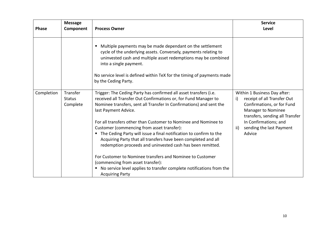| <b>Phase</b> | <b>Message</b><br>Component           | <b>Process Owner</b>                                                                                                                                                                                                                                                                                                                                                                                                                                                                              | <b>Service</b><br>Level                                                                                                                                                                                                        |
|--------------|---------------------------------------|---------------------------------------------------------------------------------------------------------------------------------------------------------------------------------------------------------------------------------------------------------------------------------------------------------------------------------------------------------------------------------------------------------------------------------------------------------------------------------------------------|--------------------------------------------------------------------------------------------------------------------------------------------------------------------------------------------------------------------------------|
|              |                                       | Multiple payments may be made dependant on the settlement<br>Е<br>cycle of the underlying assets. Conversely, payments relating to<br>uninvested cash and multiple asset redemptions may be combined<br>into a single payment.<br>No service level is defined within TeX for the timing of payments made<br>by the Ceding Party.                                                                                                                                                                  |                                                                                                                                                                                                                                |
| Completion   | Transfer<br><b>Status</b><br>Complete | Trigger: The Ceding Party has confirmed all asset transfers (i.e.<br>received all Transfer Out Confirmations or, for Fund Manager to<br>Nominee transfers, sent all Transfer In Confirmations) and sent the<br>last Payment Advice.<br>For all transfers other than Customer to Nominee and Nominee to<br>Customer (commencing from asset transfer):<br>The Ceding Party will issue a final notification to confirm to the<br>٠<br>Acquiring Party that all transfers have been completed and all | Within 1 Business Day after:<br>receipt of all Transfer Out<br>i)<br>Confirmations, or for Fund<br>Manager to Nominee<br>transfers, sending all Transfer<br>In Confirmations; and<br>sending the last Payment<br>ii)<br>Advice |
|              |                                       | redemption proceeds and uninvested cash has been remitted.<br>For Customer to Nominee transfers and Nominee to Customer<br>(commencing from asset transfer):<br>No service level applies to transfer complete notifications from the<br>п<br><b>Acquiring Party</b>                                                                                                                                                                                                                               |                                                                                                                                                                                                                                |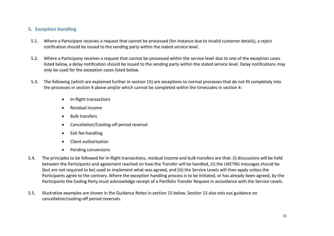## <span id="page-10-0"></span>**5. Exception Handling**

- 5.1. Where a Participant receives a request that cannot be processed (for instance due to invalid customer details), a reject notification should be issued to the sending party within the stated service level.
- 5.2. Where a Participany receives a request that cannot be processed within the service level due to one of the exception cases listed below, a delay notification should be issued to the sending party within the stated service level. Delay notifications may only be used for the exception cases listed below.
- 5.3. The following (which are explained further in section [15\)](#page-16-0) are exceptions to normal processes that do not fit completely into the processes in sectio[n 4](#page-7-0) above and/or which cannot be completed within the timescales in section [4:](#page-7-0)
	- In-flight transactions
	- Residual income
	- Bulk transfers
	- Cancellation/Cooling-off period reversal
	- Exit fee handling
	- Client authorisation
	- Pending conversions
- 5.4. The principles to be followed for in-flight transactions, residual income and bulk transfers are that: (i) discussions will be held between the Participants and agreement reached on how the Transfer will be handled, (ii) the UKETRG messages should be (but are not required to be) used to implement what was agreed, and (iii) the Service Levels will then apply unless the Participants agree to the contrary. Where the exception handling process is to be initiated, or has already been agreed, by the Participants the Ceding Party must acknowledge receipt of a Portfolio Transfer Request in accordance with the Service Levels.
- 5.5. Illustrative examples are shown in the Guidance Notes in section [15](#page-16-0) below. Section [15](#page-16-0) also sets out guidance on cancellation/cooling-off period reversals.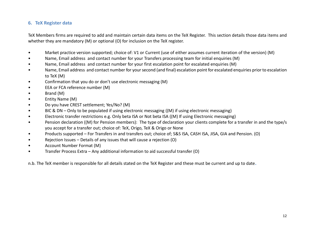## <span id="page-11-0"></span>**6. TeX Register data**

TeX Members firms are required to add and maintain certain data items on the TeX Register. This section details those data items and whether they are mandatory (M) or optional (O) for inclusion on the TeX register.

- Market practice version supported; choice of: V1 or Current (use of either assumes current iteration of the version) (M)
- Name, Email address and contact number for your Transfers processing team for initial enquiries (M)
- Name, Email address and contact number for your first escalation point for escalated enquiries (M)
- Name, Email address and contact number for your second (and final) escalation point for escalated enquiries prior to escalation to TeX (M)
- Confirmation that you do or don't use electronic messaging (M)
- EEA or FCA reference number (M)
- Brand (M)
- Entity Name (M)
- Do you have CREST settlement; Yes/No? (M)
- BIC & DN Only to be populated if using electronic messaging ((M) if using electronic messaging)
- Electronic transfer restrictions e.g. Only beta ISA or Not beta ISA ((M) If using Electronic messaging)
- Pension declaration ((M) for Pension members): The type of declaration your clients complete for a transfer in and the type/s you accept for a transfer out; choice of: TeX, Origo, TeX & Origo or None
- Products supported For Transfers in and transfers out; choice of; S&S ISA, CASH ISA, JISA, GIA and Pension. (O)
- Rejection Issues Details of any issues that will cause a rejection (O)
- Account Number Format (M)
- Transfer Process Extra Any additional information to aid successful transfer (O)

n.b. The TeX member is responsible for all details stated on the TeX Register and these must be current and up to date**.**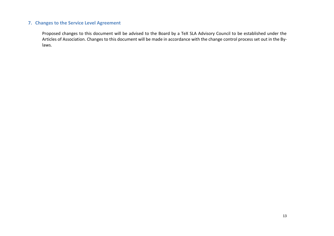## **7. Changes to the Service Level Agreement**

Proposed changes to this document will be advised to the Board by a TeX SLA Advisory Council to be established under the Articles of Association. Changes to this document will be made in accordance with the change control process set out in the Bylaws.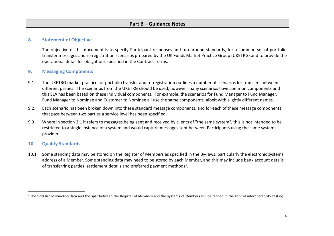## **8. Statement of Objective**

The objective of this document is to specify Participant responses and turnaround standards, for a common set of portfolio transfer messages and re-registration scenarios prepared by the UK Funds Market Practice Group (UKETRG) and to provide the operational detail for obligations specified in the Contract Terms.

#### **9. Messaging Components**

- 9.1. The UKETRG market practice for portfolio transfer and re-registration outlines a number of scenarios for transfers between different parties. The scenarios from the UKETRG should be used, however many scenarios have common components and this SLA has been based on these individual components. For example, the scenarios for Fund Manager to Fund Manager, Fund Manager to Nominee and Customer to Nominee all use the same components, albeit with slightly different names.
- 9.2. Each scenario has been broken down into these standard message components, and for each of these message components that pass between two parties a service level has been specified.
- <span id="page-13-0"></span>9.3. Where in section [2.1](#page-5-2) it refers to messages being sent and received by clients of "the same system", this is not intended to be restricted to a single instance of a system and would capture messages sent between Participants using the same systems provider.

#### **10. Quality Standards**

1

10.1. Some standing data may be stored on the Register of Members as specified in the By-laws, particularly the electronic systems address of a Member. Some standing data may need to be stored by each Member, and this may include bank account details of transferring parties, settlement details and preferred payment methods<sup>1</sup>.

 $^1$ The final list of standing data and the split between the Register of Members and the systems of Members will be refined in the light of interoperability testing.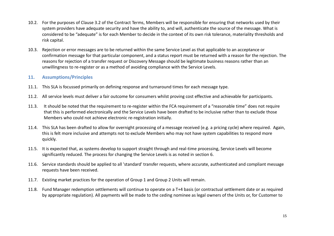- 10.2. For the purposes of Clause 3.2 of the Contract Terms, Members will be responsible for ensuring that networks used by their system providers have adequate security and have the ability to, and will, authenticate the source of the message. What is considered to be "adequate" is for each Member to decide in the context of its own risk tolerance, materiality thresholds and risk capital.
- 10.3. Rejection or error messages are to be returned within the same Service Level as that applicable to an acceptance or confirmation message for that particular component, and a status report must be returned with a reason for the rejection. The reasons for rejection of a transfer request or Discovery Message should be legitimate business reasons rather than an unwillingness to re-register or as a method of avoiding compliance with the Service Levels.

#### **11. Assumptions/Principles**

- 11.1. This SLA is focussed primarily on defining response and turnaround times for each message type.
- 11.2. All service levels must deliver a fair outcome for consumers whilst proving cost effective and achievable for participants.
- 11.3. It should be noted that the requirement to re-register within the FCA requirement of a "reasonable time" does not require that this is performed electronically and the Service Levels have been drafted to be inclusive rather than to exclude those Members who could not achieve electronic re-registration initially.
- 11.4. This SLA has been drafted to allow for overnight processing of a message received (e.g. a pricing cycle) where required. Again, this is felt more inclusive and attempts not to exclude Members who may not have system capabilities to respond more quickly.
- 11.5. It is expected that, as systems develop to support straight through and real-time processing, Service Levels will become significantly reduced. The process for changing the Service Levels is as noted in section [6.](#page-11-0)
- 11.6. Service standards should be applied to all 'standard' transfer requests, where accurate, authenticated and compliant message requests have been received.
- 11.7. Existing market practices for the operation of Group 1 and Group 2 Units will remain.
- 11.8. Fund Manager redemption settlements will continue to operate on a T+4 basis (or contractual settlement date or as required by appropriate regulation). All payments will be made to the ceding nominee as legal owners of the Units or, for Customer to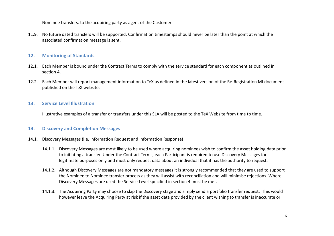Nominee transfers, to the acquiring party as agent of the Customer.

11.9. No future dated transfers will be supported. Confirmation timestamps should never be later than the point at which the associated confirmation message is sent.

#### **12. Monitoring of Standards**

- 12.1. Each Member is bound under the Contract Terms to comply with the service standard for each component as outlined in section [4.](#page-7-0)
- 12.2. Each Member will report management information to TeX as defined in the latest version of the Re-Registration MI document published on the TeX website.

#### **13. Service Level Illustration**

Illustrative examples of a transfer or transfers under this SLA will be posted to the TeX Website from time to time.

#### **14. Discovery and Completion Messages**

- 14.1. Discovery Messages (i.e. Information Request and Information Response)
	- 14.1.1. Discovery Messages are most likely to be used where acquiring nominees wish to confirm the asset holding data prior to initiating a transfer. Under the Contract Terms, each Participant is required to use Discovery Messages for legitimate purposes only and must only request data about an individual that it has the authority to request.
	- 14.1.2. Although Discovery Messages are not mandatory messages it is strongly recommended that they are used to support the Nominee to Nominee transfer process as they will assist with reconciliation and will minimise rejections. Where Discovery Messages are used the Service Level specified in section [4](#page-7-0) must be met.
	- 14.1.3. The Acquiring Party may choose to skip the Discovery stage and simply send a portfolio transfer request. This would however leave the Acquiring Party at risk if the asset data provided by the client wishing to transfer is inaccurate or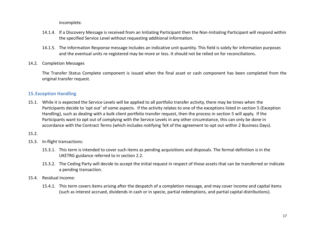incomplete.

- 14.1.4. If a Discovery Message is received from an Initiating Participant then the Non-Initiating Participant will respond within the specified Service Level without requesting additional information.
- 14.1.5. The Information Response message includes an indicative unit quantity. This field is solely for information purposes and the eventual units re-registered may be more or less. It should not be relied on for reconciliations.
- 14.2. Completion Messages

The Transfer Status Complete component is issued when the final asset or cash component has been completed from the original transfer request.

## <span id="page-16-0"></span>**15.Exception Handling**

15.1. While it is expected the Service Levels will be applied to all portfolio transfer activity, there may be times when the Participants decide to 'opt out' of some aspects. If the activity relates to one of the exceptions listed in section [5](#page-10-0) (Exception Handling), such as dealing with a bulk client portfolio transfer request, then the process in section [5](#page-10-0) will apply. If the Participants want to opt out of complying with the Service Levels in any other circumstance, this can only be done in accordance with the Contract Terms (which includes notifying TeX of the agreement to opt out within 2 Business Days).

#### 15.2.

- 15.3. In-flight transactions:
	- 15.3.1. This term is intended to cover such items as pending acquisitions and disposals. The formal definition is in the UKETRG guidance referred to in section [2.2.](#page-5-0)
	- 15.3.2. The Ceding Party will decide to accept the initial request in respect of those assets that can be transferred or indicate a pending transaction.
- 15.4. Residual Income:
	- 15.4.1. This term covers items arising after the despatch of a completion message, and may cover income and capital items (such as interest accrued, dividends in cash or in specie, partial redemptions, and partial capital distributions).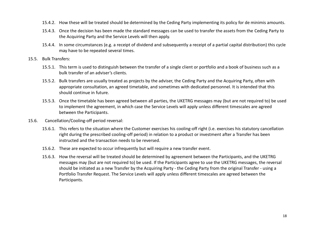- 15.4.2. How these will be treated should be determined by the Ceding Party implementing its policy for de minimis amounts.
- 15.4.3. Once the decision has been made the standard messages can be used to transfer the assets from the Ceding Party to the Acquiring Party and the Service Levels will then apply.
- 15.4.4. In some circumstances (e.g. a receipt of dividend and subsequently a receipt of a partial capital distribution) this cycle may have to be repeated several times.
- 15.5. Bulk Transfers:
	- 15.5.1. This term is used to distinguish between the transfer of a single client or portfolio and a book of business such as a bulk transfer of an adviser's clients.
	- 15.5.2. Bulk transfers are usually treated as projects by the adviser, the Ceding Party and the Acquiring Party, often with appropriate consultation, an agreed timetable, and sometimes with dedicated personnel. It is intended that this should continue in future.
	- 15.5.3. Once the timetable has been agreed between all parties, the UKETRG messages may (but are not required to) be used to implement the agreement, in which case the Service Levels will apply unless different timescales are agreed between the Participants.
- 15.6. Cancellation/Cooling-off period reversal:
	- 15.6.1. This refers to the situation where the Customer exercises his cooling-off right (i.e. exercises his statutory cancellation right during the prescribed cooling-off period) in relation to a product or investment after a Transfer has been instructed and the transaction needs to be reversed.
	- 15.6.2. These are expected to occur infrequently but will require a new transfer event.
	- 15.6.3. How the reversal will be treated should be determined by agreement between the Participants, and the UKETRG messages may (but are not required to) be used. If the Participants agree to use the UKETRG messages, the reversal should be initiated as a new Transfer by the Acquiring Party - the Ceding Party from the original Transfer - using a Portfolio Transfer Request. The Service Levels will apply unless different timescales are agreed between the Participants.